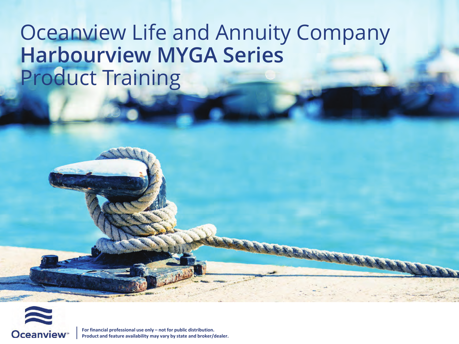# Oceanview Life and Annuity Company **Harbourview MYGA Series**  Product Training

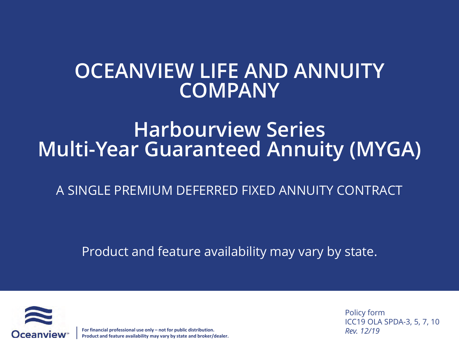#### **OCEANVIEW LIFE AND ANNUITY COMPANY**

### **Harbourview Series Multi-Year Guaranteed Annuity (MYGA)**

#### A SINGLE PREMIUM DEFERRED FIXED ANNUITY CONTRACT

Product and feature availability may vary by state.



**For financial professional use only – not for public distribution. Product and feature availability may vary by state and broker/dealer.** Policy form ICC19 OLA SPDA-3, 5, 7, 10 *Rev. 12/19*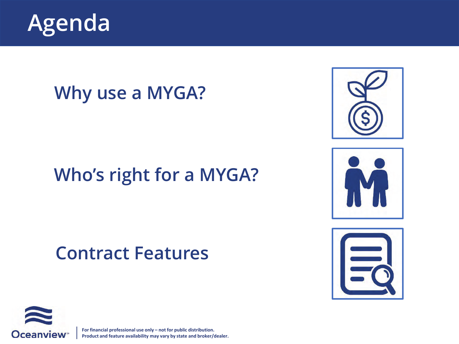

#### **Why use a MYGA?**

### **Who's right for a MYGA?**

#### **Contract Features**







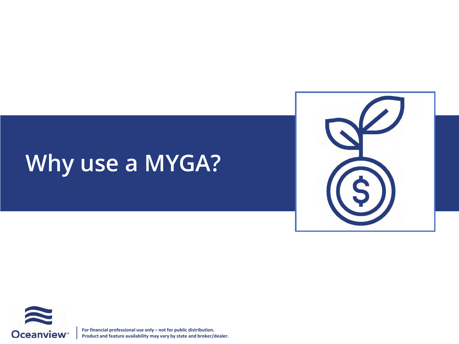# **Why use a MYGA?**



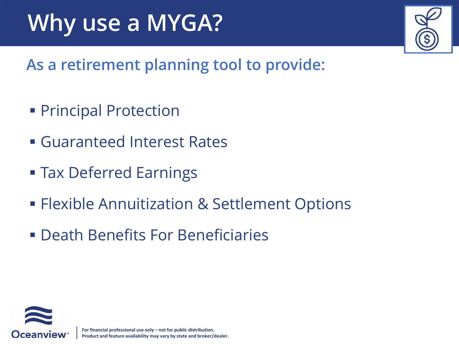# **Why use a MYGA?**

**As a retirement planning tool to provide:**

- **Principal Protection**
- Guaranteed Interest Rates
- **Tax Deferred Earnings**
- **Flexible Annuitization & Settlement Options**
- Death Benefits For Beneficiaries

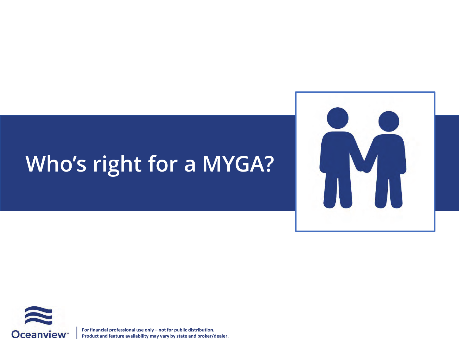# **Who's right for a MYGA?**



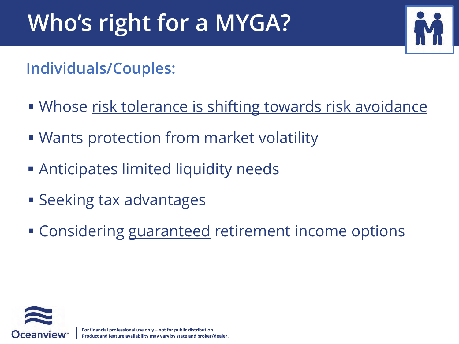# **Who's right for a MYGA?**



**Individuals/Couples:**

- Whose risk tolerance is shifting towards risk avoidance
- **Wants protection from market volatility**
- **Anticipates limited liquidity needs**
- **Seeking tax advantages**
- **Considering guaranteed retirement income options**

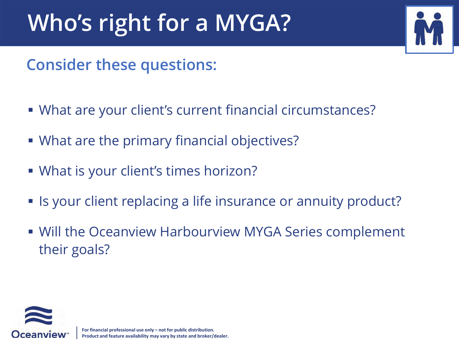# **Who's right for a MYGA?**



#### **Consider these questions:**

- What are your client's current financial circumstances?
- What are the primary financial objectives?
- What is your client's times horizon?
- **If** Is your client replacing a life insurance or annuity product?
- **Will the Oceanview Harbourview MYGA Series complement** their goals?

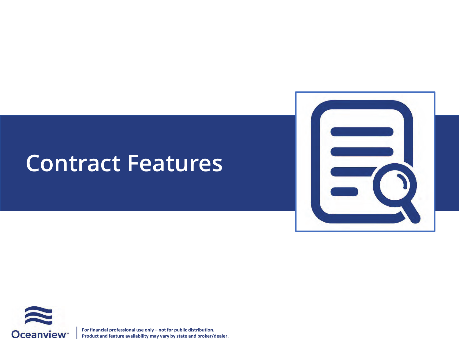

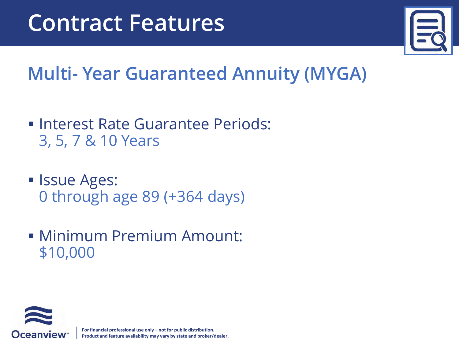

# **Multi- Year Guaranteed Annuity (MYGA)**

- **Interest Rate Guarantee Periods:** 3, 5, 7 & 10 Years
- **Issue Ages:** 0 through age 89 (+364 days)
- Minimum Premium Amount: \$10,000

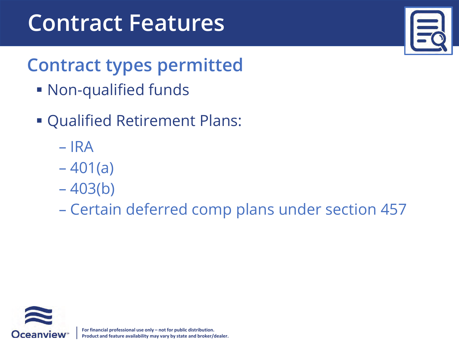# **Contract types permitted**

- Non-qualified funds
- Qualified Retirement Plans:
	- IRA
	- $-401(a)$
	- $-403(b)$
	- Certain deferred comp plans under section 457



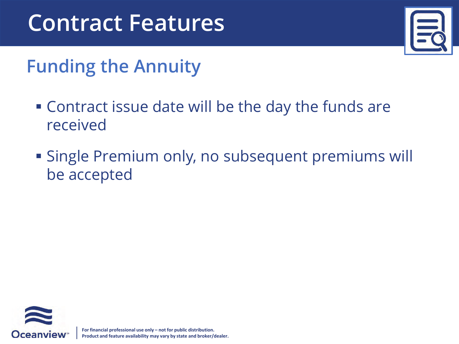# **Funding the Annuity**

- Contract issue date will be the day the funds are received
- Single Premium only, no subsequent premiums will be accepted

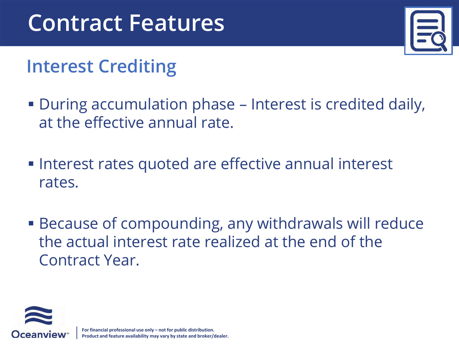# **Interest Crediting**

- During accumulation phase Interest is credited daily, at the effective annual rate.
- **Interest rates quoted are effective annual interest** rates.
- **Because of compounding, any withdrawals will reduce** the actual interest rate realized at the end of the Contract Year.

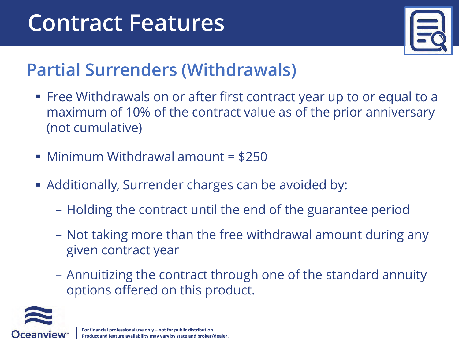

## **Partial Surrenders (Withdrawals)**

- Free Withdrawals on or after first contract year up to or equal to a maximum of 10% of the contract value as of the prior anniversary (not cumulative)
- Minimum Withdrawal amount = \$250
- **Additionally, Surrender charges can be avoided by:** 
	- Holding the contract until the end of the guarantee period
	- Not taking more than the free withdrawal amount during any given contract year
	- Annuitizing the contract through one of the standard annuity options offered on this product.

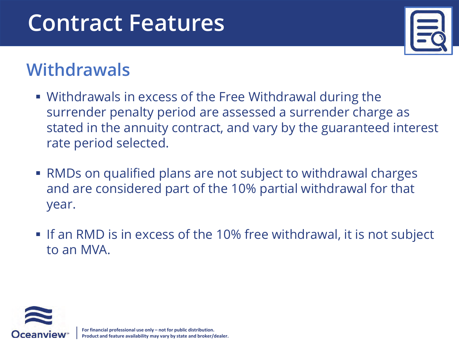

#### **Withdrawals**

- Withdrawals in excess of the Free Withdrawal during the surrender penalty period are assessed a surrender charge as stated in the annuity contract, and vary by the guaranteed interest rate period selected.
- RMDs on qualified plans are not subject to withdrawal charges and are considered part of the 10% partial withdrawal for that year
- If an RMD is in excess of the 10% free withdrawal, it is not subject to an MVA

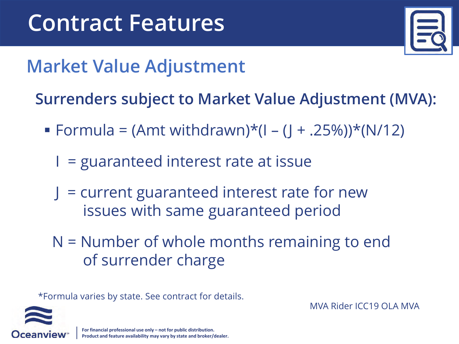

# **Market Value Adjustment**

**Surrenders subject to Market Value Adjustment (MVA):**

- $\blacksquare$  Formula = (Amt withdrawn)\*(I (J + .25%))\*(N/12)
	- $I =$  guaranteed interest rate at issue
	- $J =$  current guaranteed interest rate for new issues with same guaranteed period
	- N = Number of whole months remaining to end of surrender charge

\*Formula varies by state. See contract for details.

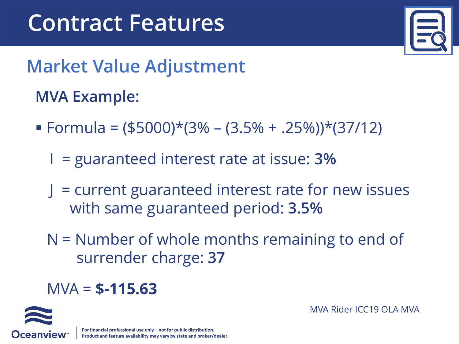

# **Market Value Adjustment**

#### **MVA Example:**

- $\blacktriangleright$  Formula = (\$5000)\*(3% (3.5% + .25%))\*(37/12)
	- I = guaranteed interest rate at issue: **3%**
	- $J =$  current guaranteed interest rate for new issues with same guaranteed period: **3.5%**
	- N = Number of whole months remaining to end of surrender charge: **37**

#### MVA = **\$-115.63**

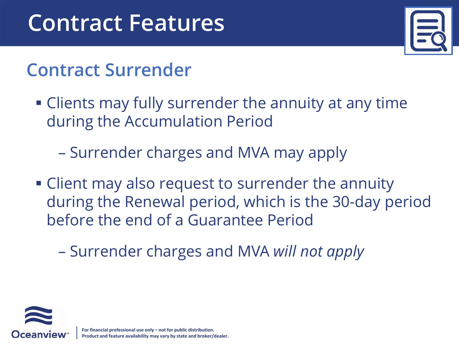

### **Contract Surrender**

- Clients may fully surrender the annuity at any time during the Accumulation Period
	- Surrender charges and MVA may apply
- Client may also request to surrender the annuity during the Renewal period, which is the 30-day period before the end of a Guarantee Period
	- Surrender charges and MVA *will not apply*

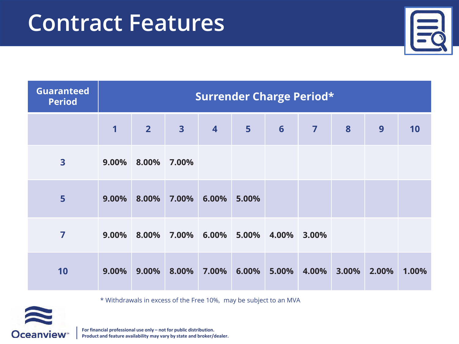| <b>Guaranteed</b><br><b>Period</b> | <b>Surrender Charge Period*</b> |                            |                         |                         |                |       |                |                  |       |       |
|------------------------------------|---------------------------------|----------------------------|-------------------------|-------------------------|----------------|-------|----------------|------------------|-------|-------|
|                                    | $\mathbf 1$                     | $\overline{\phantom{2}}$ 2 | $\overline{\mathbf{3}}$ | $\overline{\mathbf{4}}$ | $5\phantom{a}$ | 6     | $\overline{7}$ | $\boldsymbol{8}$ | 9     | 10    |
| 3                                  | 9.00%                           | 8.00%                      | 7.00%                   |                         |                |       |                |                  |       |       |
| 5                                  | 9.00%                           | 8.00%                      | 7.00%                   | 6.00%                   | 5.00%          |       |                |                  |       |       |
| 7                                  | 9.00%                           | 8.00%                      | 7.00%                   | 6.00% 5.00% 4.00%       |                |       | 3.00%          |                  |       |       |
| 10                                 | 9.00%                           | 9.00%                      | 8.00%                   | 7.00%                   | $6.00\%$       | 5.00% | 4.00%          | 3.00%            | 2.00% | 1.00% |

\* Withdrawals in excess of the Free 10%, may be subject to an MVA

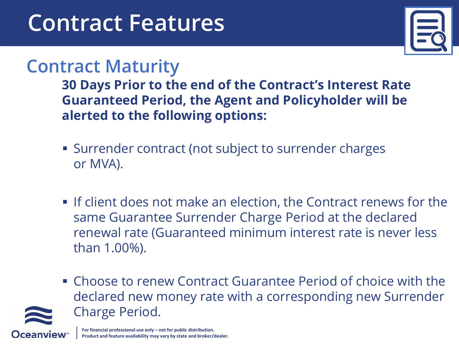

#### **Contract Maturity**

**30 Days Prior to the end of the Contract's Interest Rate Guaranteed Period, the Agent and PolicyKolder will be alerted to the following options:**

- Surrender contract (not subject to surrender charges or MVA).
- If client does not make an election, the Contract renews for the same Guarantee Surrender Charge Period at the declared renewal rate (Guaranteed minimum interest rate is never less than 1.00%).
- Choose to renew Contract Guarantee Period of choice with the declared new money rate with a corresponding new Surrender Charge Period.

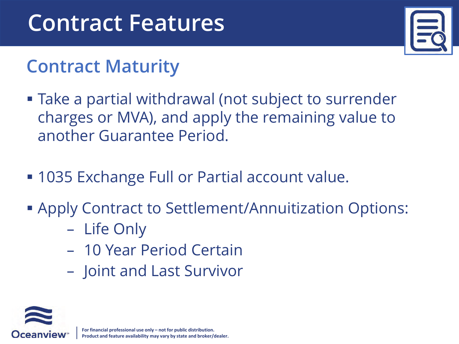## **Contract Maturity**

- Take a partial withdrawal (not subject to surrender charges or MVA), and apply the remaining value to another Guarantee Period.
- **1035 Exchange Full or Partial account value.**
- Apply Contract to Settlement/Annuitization Options:
	- Life Only
	- 10 Year Period Certain
	- Joint and Last Survivor

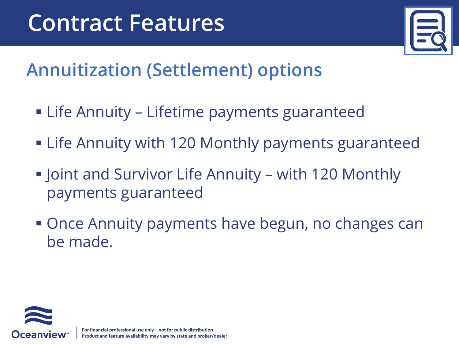

# **Annuitization (Settlement) options**

- Life Annuity Lifetime payments guaranteed
- **Example 20 Monthly payments guaranteed**
- **Joint and Survivor Life Annuity with 120 Monthly** payments guaranteed
- **Once Annuity payments have begun, no changes can** be made

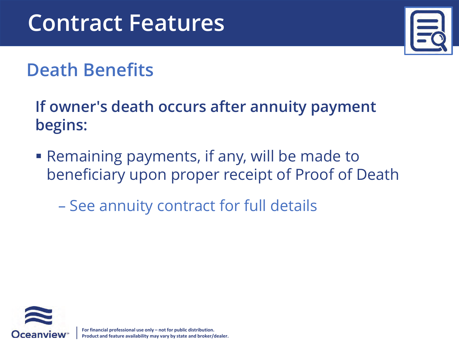

# **Death Benefits**

If owner's death occurs after annuity payment **begins:**

- Remaining payments, if any, will be made to beneficiary upon proper receipt of Proof of Death
	- See annuity contract for full details

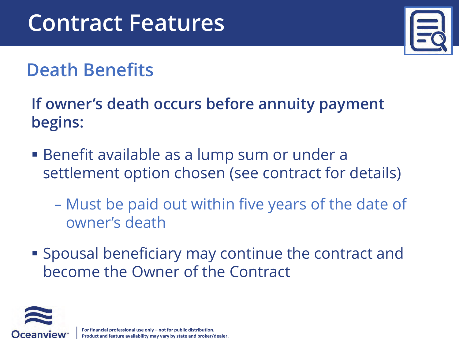

# **Death Benefits**

**If owner's death occurs before annuity payment begins:**

- Benefit available as a lump sum or under a settlement option chosen (see contract for details)
	- Must be paid out within five years of the date of owner's death
- Spousal beneficiary may continue the contract and become the Owner of the Contract

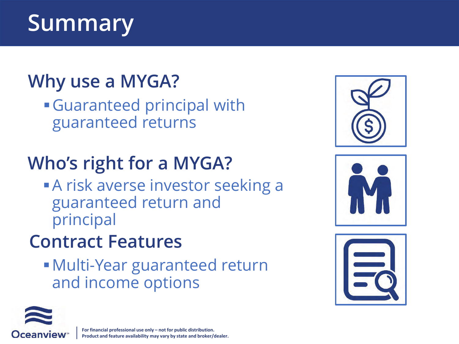# **Summary**

# **Why use a MYGA?**

Guaranteed principal with guaranteed returns

# **Who's right for a MYGA?**

**A risk averse investor seeking a** guaranteed return and principal

# **Contract Features**

Multi-Year guaranteed return and income options







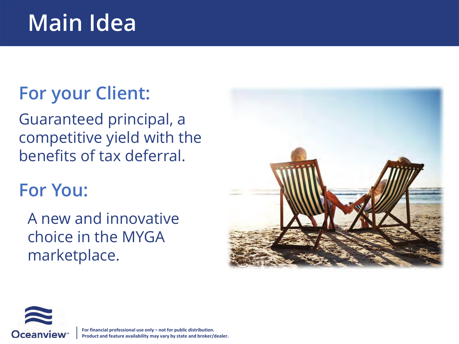# **Main Idea**

### **For your Client:**

Guaranteed principal, a competitive yield with the benefits of tax deferral.

#### **For You:**

A new and innovative choice in the MYGA marketplace.



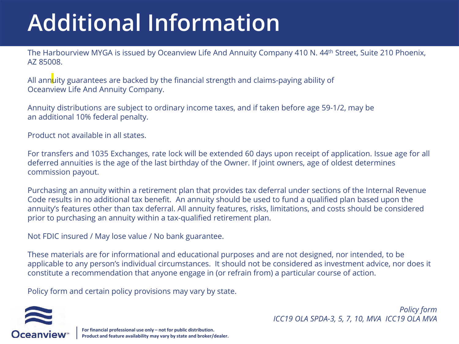# **Additional Information**

The Harbourview MYGA is issued by Oceanview Life And Annuity Company 410 N. 44<sup>th</sup> Street, Suite 210 Phoenix, AZ 85008.

All annuity guarantees are backed by the financial strength and claims-paying ability of Oceanview Life And Annuity Company.

Annuity distributions are subject to ordinary income taxes, and if taken before age 59-1/2, may be an additional 10% federal penalty.

Product not available in all states.

For transfers and 1035 Exchanges, rate lock will be extended 60 days upon receipt of application. Issue age for all deferred annuities is the age of the last birthday of the Owner. If joint owners, age of oldest determines commission payout.

Purchasing an annuity within a retirement plan that provides tax deferral under sections of the Internal Revenue Code results in no additional tax benefit. An annuity should be used to fund a qualified plan based upon the annuity's features other than tax deferral. All annuity features, risks, limitations, and costs should be considered prior to purchasing an annuity within a tax-qualified retirement plan.

Not FDIC insured / May lose value / No bank guarantee.

These materials are for informational and educational purposes and are not designed, nor intended, to be applicable to any person's individual circumstances. It should not be considered as investment advice, nor does it constitute a recommendation that anyone engage in (or refrain from) a particular course of action.

Policy form and certain policy provisions may vary by state.

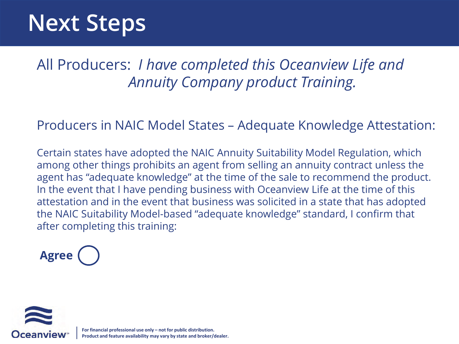# **Next Steps**

All Producers: *I have completed this Oceanview Life and Annuity Company product Training.*

#### Producers in NAIC Model States – Adequate Knowledge Attestation:

Certain states have adopted the NAIC Annuity Suitability Model Regulation, which among other things prohibits an agent from selling an annuity contract unless the agent has "adequate knowledge" at the time of the sale to recommend the product. In the event that I have pending business with Oceanview Life at the time of this attestation and in the event that business was solicited in a state that has adopted the NAIC Suitability Model-based "adequate knowledge" standard, I confirm that after completing this training:



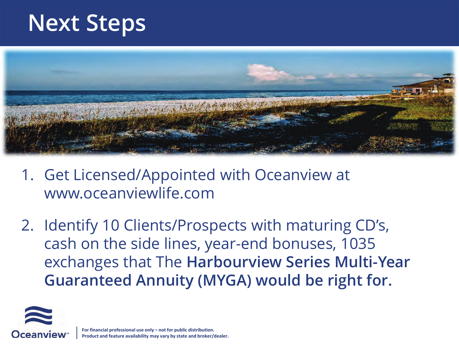# **Next Steps**



- 1. Get Licensed/Appointed with Oceanview at www.oceanviewlife.com
- 2. Identify 10 Clients/Prospects with maturing CD's, cash on the side lines, year-end bonuses, 1035 exchanges that The **Harbourview Series Multi-Year Guaranteed Annuity (MYGA) would be right for.**